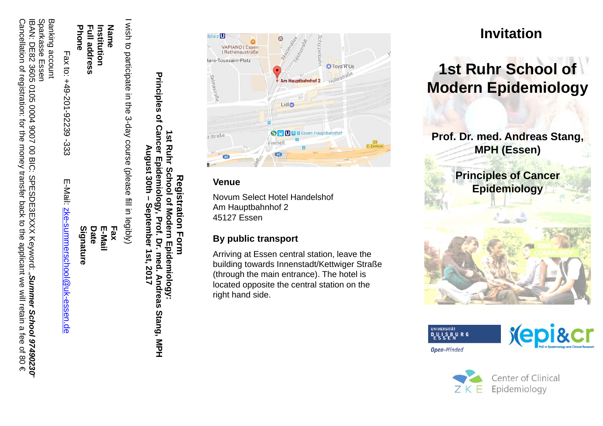IBAN: DE82 3605 0105 0004 9007 00 BIC: SPESDE3EXXX Keyword: " Sparkasse Essen *Summer School 97490230*"

Banking account

Fax to: +49-201-92239 -333 E-Mail: zke-summerschool@uk-essen.de

**Signature Date E-Mail Fax**

**Phone Full address Institution Name** I wish to participate in the 3-day course (please fill in legibly)

# **Registration Form 1st Ruhr School of Modern Epidemiology: Principles of Cancer Epidemiology, Prof. Dr. med. Andreas Stang, MPH August 30th – September 1st, 2017**



# **1st Ruhr School of Modern Epidemiology**

**Prof. Dr. med. Andreas Stang, MPH (Essen)**